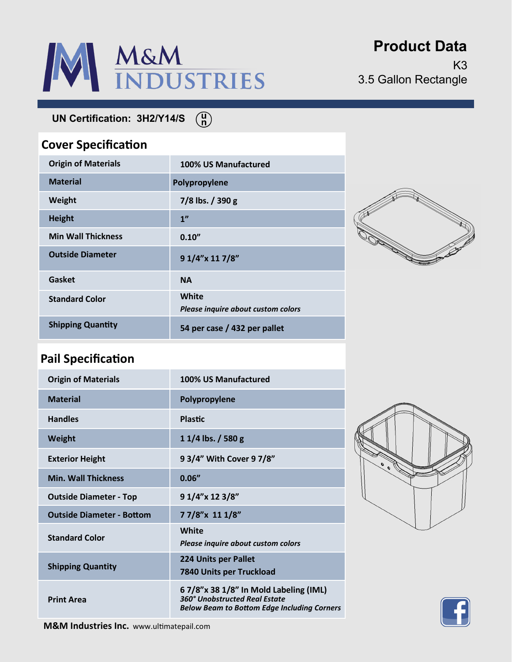

**Product Data**

K3 3.5 Gallon Rectangle

**UN Certification: 3H2/Y14/S** 

### **Cover Specification**

| <b>Origin of Materials</b> | 100% US Manufactured                        |
|----------------------------|---------------------------------------------|
| <b>Material</b>            | Polypropylene                               |
| Weight                     | $7/8$ lbs. $/$ 390 g                        |
| <b>Height</b>              | 1 <sup>n</sup>                              |
| <b>Min Wall Thickness</b>  | 0.10''                                      |
| <b>Outside Diameter</b>    | 9 1/4"x 11 7/8"                             |
| Gasket                     | <b>NA</b>                                   |
| <b>Standard Color</b>      | White<br>Please inquire about custom colors |
| <b>Shipping Quantity</b>   | 54 per case / 432 per pallet                |

 $\binom{n}{n}$ 



## **Pail Specification**

| <b>Origin of Materials</b>       | 100% US Manufactured                                                                                                          |
|----------------------------------|-------------------------------------------------------------------------------------------------------------------------------|
| <b>Material</b>                  | Polypropylene                                                                                                                 |
| <b>Handles</b>                   | <b>Plastic</b>                                                                                                                |
| <b>Weight</b>                    | $11/4$ lbs. / 580 g                                                                                                           |
| <b>Exterior Height</b>           | 9 3/4" With Cover 9 7/8"                                                                                                      |
| <b>Min. Wall Thickness</b>       | 0.06''                                                                                                                        |
| <b>Outside Diameter - Top</b>    | 9 1/4"x 12 3/8"                                                                                                               |
| <b>Outside Diameter - Bottom</b> | 77/8"x 111/8"                                                                                                                 |
| <b>Standard Color</b>            | White<br>Please inquire about custom colors                                                                                   |
| <b>Shipping Quantity</b>         | 224 Units per Pallet<br>7840 Units per Truckload                                                                              |
| <b>Print Area</b>                | 6 7/8"x 38 1/8" In Mold Labeling (IML)<br>360° Unobstructed Real Estate<br><b>Below Beam to Bottom Edge Including Corners</b> |





**M&M Industries Inc.** www.ultimatepail.com